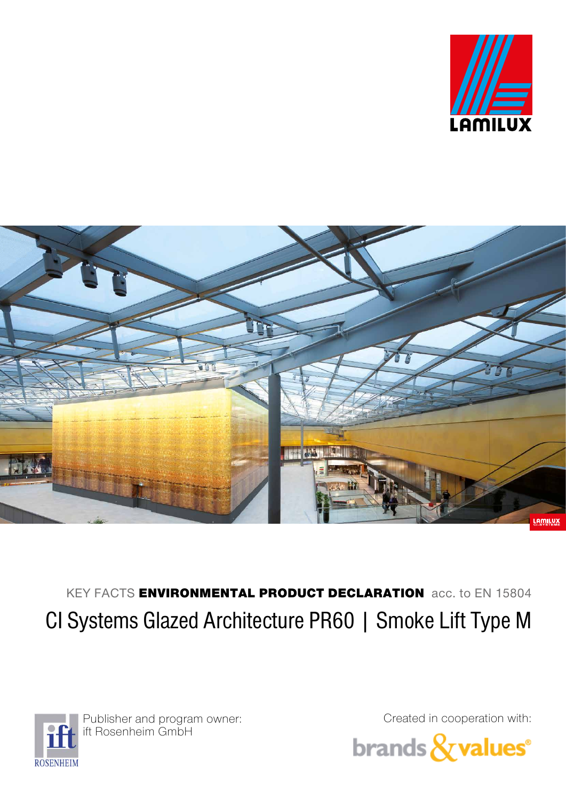



KEY FACTS ENVIRONMENTAL PRODUCT DECLARATION acc. to EN 15804 CI Systems Glazed Architecture PR60 | Smoke Lift Type M



Publisher and program owner: ift Rosenheim GmbH

Created in cooperation with: